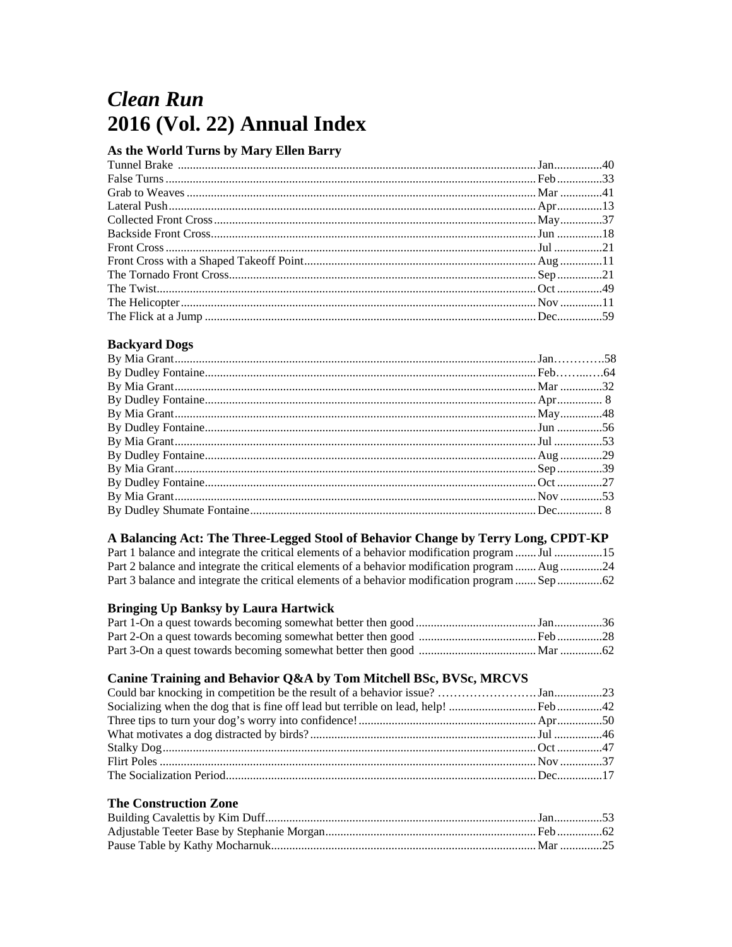# **Clean Run** 2016 (Vol. 22) Annual Index

#### As the World Turns by Mary Ellen Barry

#### **Backyard Dogs**

## A Balancing Act: The Three-Legged Stool of Behavior Change by Terry Long, CPDT-KP

| Part 1 balance and integrate the critical elements of a behavior modification program  Jul 15 |  |
|-----------------------------------------------------------------------------------------------|--|
| Part 2 balance and integrate the critical elements of a behavior modification program  Aug 24 |  |
|                                                                                               |  |

#### **Bringing Up Banksy by Laura Hartwick**

## Canine Training and Behavior Q&A by Tom Mitchell BSc, BVSc, MRCVS

#### **The Construction Zone**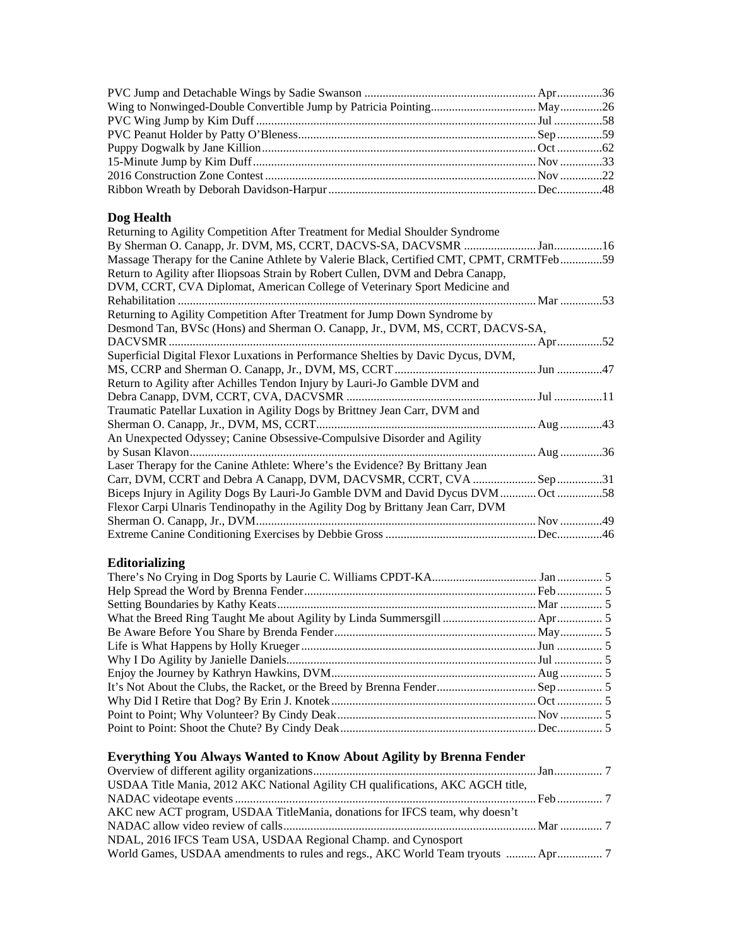## **Dog Health**

| Returning to Agility Competition After Treatment for Medial Shoulder Syndrome           |  |
|-----------------------------------------------------------------------------------------|--|
|                                                                                         |  |
| Massage Therapy for the Canine Athlete by Valerie Black, Certified CMT, CPMT, CRMTFeb59 |  |
| Return to Agility after Iliopsoas Strain by Robert Cullen, DVM and Debra Canapp,        |  |
| DVM, CCRT, CVA Diplomat, American College of Veterinary Sport Medicine and              |  |
|                                                                                         |  |
| Returning to Agility Competition After Treatment for Jump Down Syndrome by              |  |
| Desmond Tan, BVSc (Hons) and Sherman O. Canapp, Jr., DVM, MS, CCRT, DACVS-SA,           |  |
| DACVSMR                                                                                 |  |
| Superficial Digital Flexor Luxations in Performance Shelties by Davic Dycus, DVM,       |  |
|                                                                                         |  |
| Return to Agility after Achilles Tendon Injury by Lauri-Jo Gamble DVM and               |  |
|                                                                                         |  |
| Traumatic Patellar Luxation in Agility Dogs by Brittney Jean Carr, DVM and              |  |
|                                                                                         |  |
| An Unexpected Odyssey; Canine Obsessive-Compulsive Disorder and Agility                 |  |
|                                                                                         |  |
| Laser Therapy for the Canine Athlete: Where's the Evidence? By Brittany Jean            |  |
|                                                                                         |  |
| Biceps Injury in Agility Dogs By Lauri-Jo Gamble DVM and David Dycus DVM  Oct 58        |  |
| Flexor Carpi Ulnaris Tendinopathy in the Agility Dog by Brittany Jean Carr, DVM         |  |
|                                                                                         |  |
|                                                                                         |  |
|                                                                                         |  |

# **Editorializing**

# **Everything You Always Wanted to Know About Agility by Brenna Fender**

| USDAA Title Mania, 2012 AKC National Agility CH qualifications, AKC AGCH title, |  |
|---------------------------------------------------------------------------------|--|
|                                                                                 |  |
| AKC new ACT program, USDAA TitleMania, donations for IFCS team, why doesn't     |  |
|                                                                                 |  |
| NDAL, 2016 IFCS Team USA, USDAA Regional Champ. and Cynosport                   |  |
|                                                                                 |  |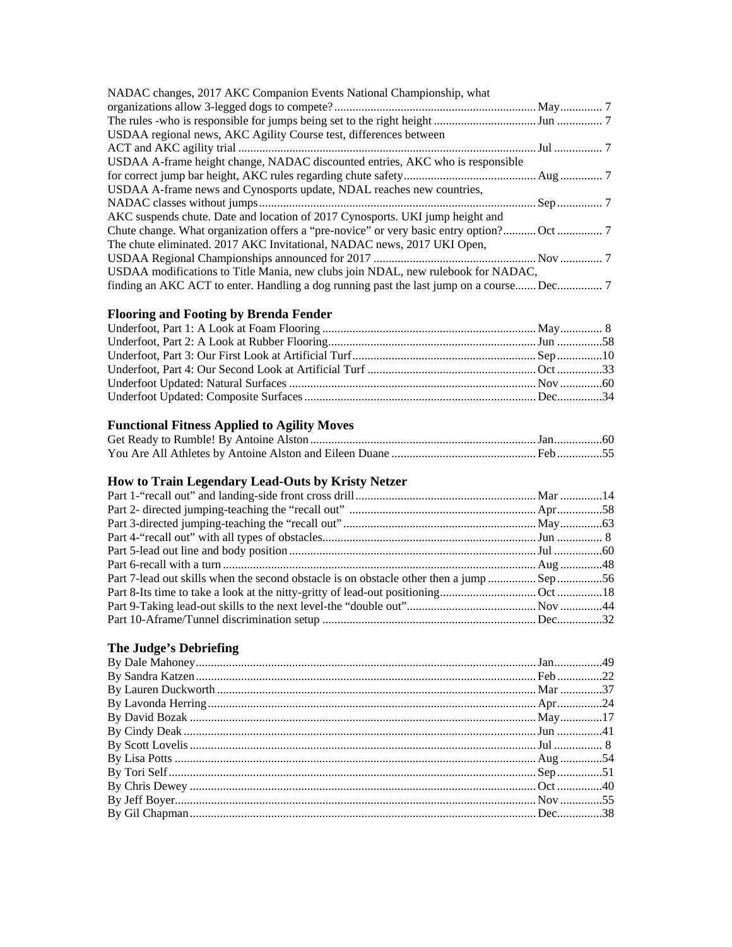| NADAC changes, 2017 AKC Companion Events National Championship, what             |  |
|----------------------------------------------------------------------------------|--|
|                                                                                  |  |
|                                                                                  |  |
| USDAA regional news, AKC Agility Course test, differences between                |  |
|                                                                                  |  |
| USDAA A-frame height change, NADAC discounted entries, AKC who is responsible    |  |
|                                                                                  |  |
| USDAA A-frame news and Cynosports update, NDAL reaches new countries,            |  |
|                                                                                  |  |
| AKC suspends chute. Date and location of 2017 Cynosports. UKI jump height and    |  |
|                                                                                  |  |
| The chute eliminated. 2017 AKC Invitational, NADAC news, 2017 UKI Open,          |  |
|                                                                                  |  |
| USDAA modifications to Title Mania, new clubs join NDAL, new rulebook for NADAC, |  |
|                                                                                  |  |

## **Flooring and Footing by Brenda Fender**

## **Functional Fitness Applied to Agility Moves**

# **How to Train Legendary Lead-Outs by Kristy Netzer**

## **The Judge's Debriefing**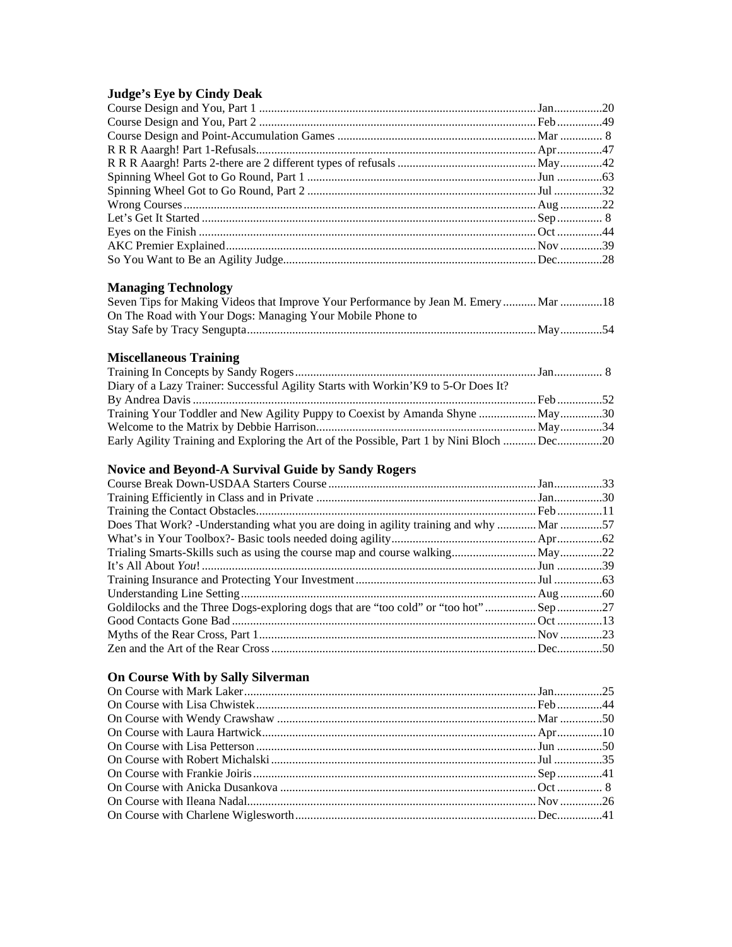#### **Judge's Eye by Cindy Deak**

## **Managing Technology**

| Seven Tips for Making Videos that Improve Your Performance by Jean M. Emery  Mar 18 |  |
|-------------------------------------------------------------------------------------|--|
| On The Road with Your Dogs: Managing Your Mobile Phone to                           |  |
|                                                                                     |  |

## **Miscellaneous Training**

| Diary of a Lazy Trainer: Successful Agility Starts with Workin' K9 to 5-Or Does It?      |  |
|------------------------------------------------------------------------------------------|--|
|                                                                                          |  |
| Training Your Toddler and New Agility Puppy to Coexist by Amanda Shyne  May30            |  |
|                                                                                          |  |
| Early Agility Training and Exploring the Art of the Possible, Part 1 by Nini Bloch Dec20 |  |

## **Novice and Beyond-A Survival Guide by Sandy Rogers**

| Does That Work? -Understanding what you are doing in agility training and why  Mar 57 |  |
|---------------------------------------------------------------------------------------|--|
|                                                                                       |  |
|                                                                                       |  |
|                                                                                       |  |
|                                                                                       |  |
|                                                                                       |  |
| Goldilocks and the Three Dogs-exploring dogs that are "too cold" or "too hot"27       |  |
|                                                                                       |  |
|                                                                                       |  |
|                                                                                       |  |

### **On Course With by Sally Silverman**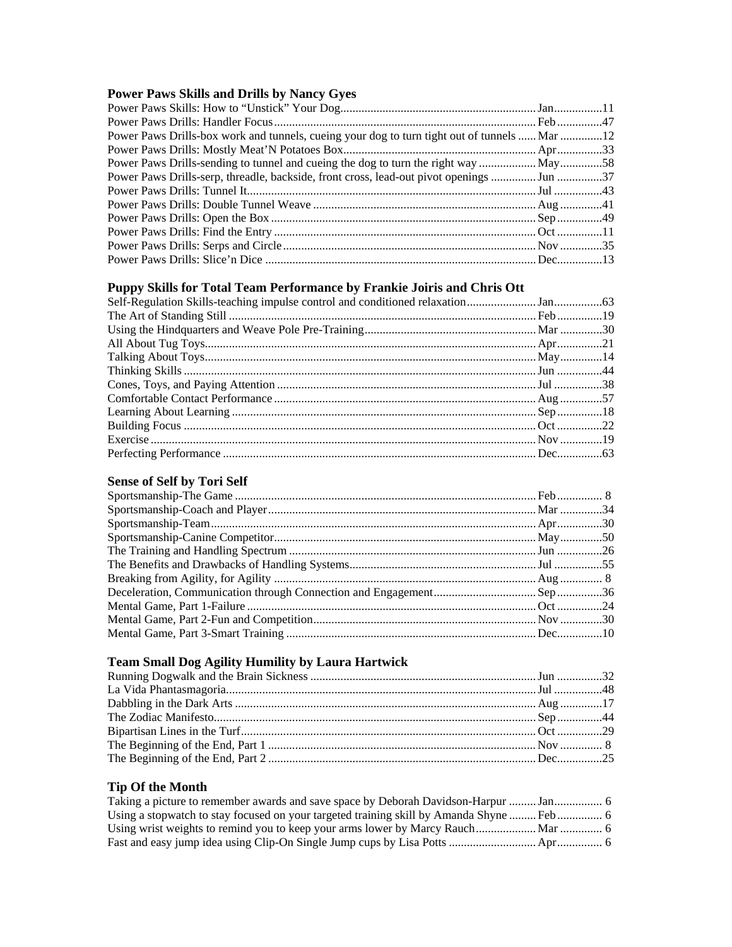## **Power Paws Skills and Drills by Nancy Gyes**

| Power Paws Drills-box work and tunnels, cueing your dog to turn tight out of tunnels  Mar 12 |  |
|----------------------------------------------------------------------------------------------|--|
|                                                                                              |  |
|                                                                                              |  |
| Power Paws Drills-serp, threadle, backside, front cross, lead-out pivot openings  Jun 37     |  |
|                                                                                              |  |
|                                                                                              |  |
|                                                                                              |  |
|                                                                                              |  |
|                                                                                              |  |
|                                                                                              |  |

## **Puppy Skills for Total Team Performance by Frankie Joiris and Chris Ott**

## **Sense of Self by Tori Self**

## **Team Small Dog Agility Humility by Laura Hartwick**

## **Tip Of the Month**

| Taking a picture to remember awards and save space by Deborah Davidson-Harpur  Jan 6 |  |
|--------------------------------------------------------------------------------------|--|
|                                                                                      |  |
|                                                                                      |  |
|                                                                                      |  |